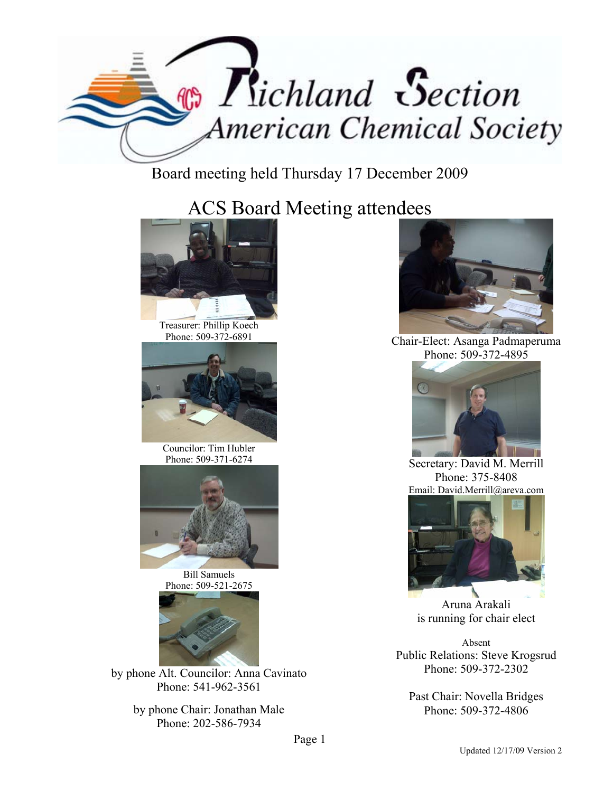

Board meeting held Thursday 17 December 2009

ACS Board Meeting attendees



Treasurer: Phillip Koech Phone: 509-372-6891



Councilor: Tim Hubler Phone: 509-371-6274



Bill Samuels Phone: 509-521-2675



by phone Alt. Councilor: Anna Cavinato Phone: 541-962-3561

> by phone Chair: Jonathan Male Phone: 202-586-7934



Chair-Elect: Asanga Padmaperuma Phone: 509-372-4895



Secretary: David M. Merrill Phone: 375-8408 Email: David.Merrill@areva.com



Aruna Arakali is running for chair elect

Absent Public Relations: Steve Krogsrud Phone: 509-372-2302

Past Chair: Novella Bridges Phone: 509-372-4806